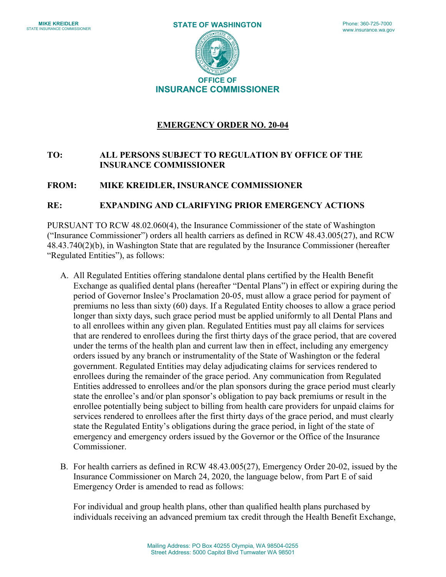

# **EMERGENCY ORDER NO. 20-04**

# **TO: ALL PERSONS SUBJECT TO REGULATION BY OFFICE OF THE INSURANCE COMMISSIONER**

## **FROM: MIKE KREIDLER, INSURANCE COMMISSIONER**

#### **RE: EXPANDING AND CLARIFYING PRIOR EMERGENCY ACTIONS**

PURSUANT TO RCW 48.02.060(4), the Insurance Commissioner of the state of Washington ("Insurance Commissioner") orders all health carriers as defined in RCW 48.43.005(27), and RCW 48.43.740(2)(b), in Washington State that are regulated by the Insurance Commissioner (hereafter "Regulated Entities"), as follows:

- A. All Regulated Entities offering standalone dental plans certified by the Health Benefit Exchange as qualified dental plans (hereafter "Dental Plans") in effect or expiring during the period of Governor Inslee's Proclamation 20-05, must allow a grace period for payment of premiums no less than sixty (60) days. If a Regulated Entity chooses to allow a grace period longer than sixty days, such grace period must be applied uniformly to all Dental Plans and to all enrollees within any given plan. Regulated Entities must pay all claims for services that are rendered to enrollees during the first thirty days of the grace period, that are covered under the terms of the health plan and current law then in effect, including any emergency orders issued by any branch or instrumentality of the State of Washington or the federal government. Regulated Entities may delay adjudicating claims for services rendered to enrollees during the remainder of the grace period. Any communication from Regulated Entities addressed to enrollees and/or the plan sponsors during the grace period must clearly state the enrollee's and/or plan sponsor's obligation to pay back premiums or result in the enrollee potentially being subject to billing from health care providers for unpaid claims for services rendered to enrollees after the first thirty days of the grace period, and must clearly state the Regulated Entity's obligations during the grace period, in light of the state of emergency and emergency orders issued by the Governor or the Office of the Insurance Commissioner.
- B. For health carriers as defined in RCW 48.43.005(27), Emergency Order 20-02, issued by the Insurance Commissioner on March 24, 2020, the language below, from Part E of said Emergency Order is amended to read as follows:

For individual and group health plans, other than qualified health plans purchased by individuals receiving an advanced premium tax credit through the Health Benefit Exchange,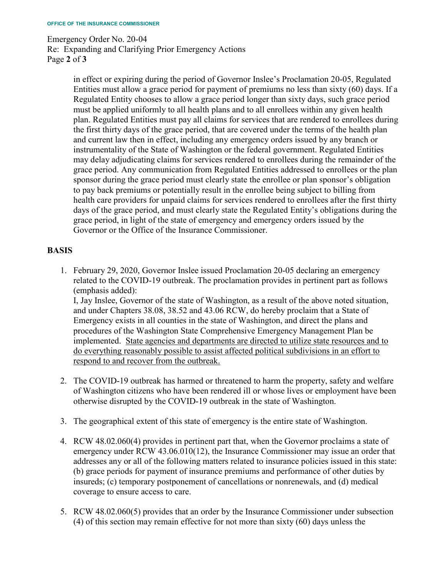Emergency Order No. 20-04 Re: Expanding and Clarifying Prior Emergency Actions Page **2** of **3**

> in effect or expiring during the period of Governor Inslee's Proclamation 20-05, Regulated Entities must allow a grace period for payment of premiums no less than sixty (60) days. If a Regulated Entity chooses to allow a grace period longer than sixty days, such grace period must be applied uniformly to all health plans and to all enrollees within any given health plan. Regulated Entities must pay all claims for services that are rendered to enrollees during the first thirty days of the grace period, that are covered under the terms of the health plan and current law then in effect, including any emergency orders issued by any branch or instrumentality of the State of Washington or the federal government. Regulated Entities may delay adjudicating claims for services rendered to enrollees during the remainder of the grace period. Any communication from Regulated Entities addressed to enrollees or the plan sponsor during the grace period must clearly state the enrollee or plan sponsor's obligation to pay back premiums or potentially result in the enrollee being subject to billing from health care providers for unpaid claims for services rendered to enrollees after the first thirty days of the grace period, and must clearly state the Regulated Entity's obligations during the grace period, in light of the state of emergency and emergency orders issued by the Governor or the Office of the Insurance Commissioner.

# **BASIS**

1. February 29, 2020, Governor Inslee issued Proclamation 20-05 declaring an emergency related to the COVID-19 outbreak. The proclamation provides in pertinent part as follows (emphasis added):

I, Jay Inslee, Governor of the state of Washington, as a result of the above noted situation, and under Chapters 38.08, 38.52 and 43.06 RCW, do hereby proclaim that a State of Emergency exists in all counties in the state of Washington, and direct the plans and procedures of the Washington State Comprehensive Emergency Management Plan be implemented. State agencies and departments are directed to utilize state resources and to do everything reasonably possible to assist affected political subdivisions in an effort to respond to and recover from the outbreak.

- 2. The COVID-19 outbreak has harmed or threatened to harm the property, safety and welfare of Washington citizens who have been rendered ill or whose lives or employment have been otherwise disrupted by the COVID-19 outbreak in the state of Washington.
- 3. The geographical extent of this state of emergency is the entire state of Washington.
- 4. RCW 48.02.060(4) provides in pertinent part that, when the Governor proclaims a state of emergency under RCW 43.06.010(12), the Insurance Commissioner may issue an order that addresses any or all of the following matters related to insurance policies issued in this state: (b) grace periods for payment of insurance premiums and performance of other duties by insureds; (c) temporary postponement of cancellations or nonrenewals, and (d) medical coverage to ensure access to care.
- 5. RCW 48.02.060(5) provides that an order by the Insurance Commissioner under subsection (4) of this section may remain effective for not more than sixty (60) days unless the